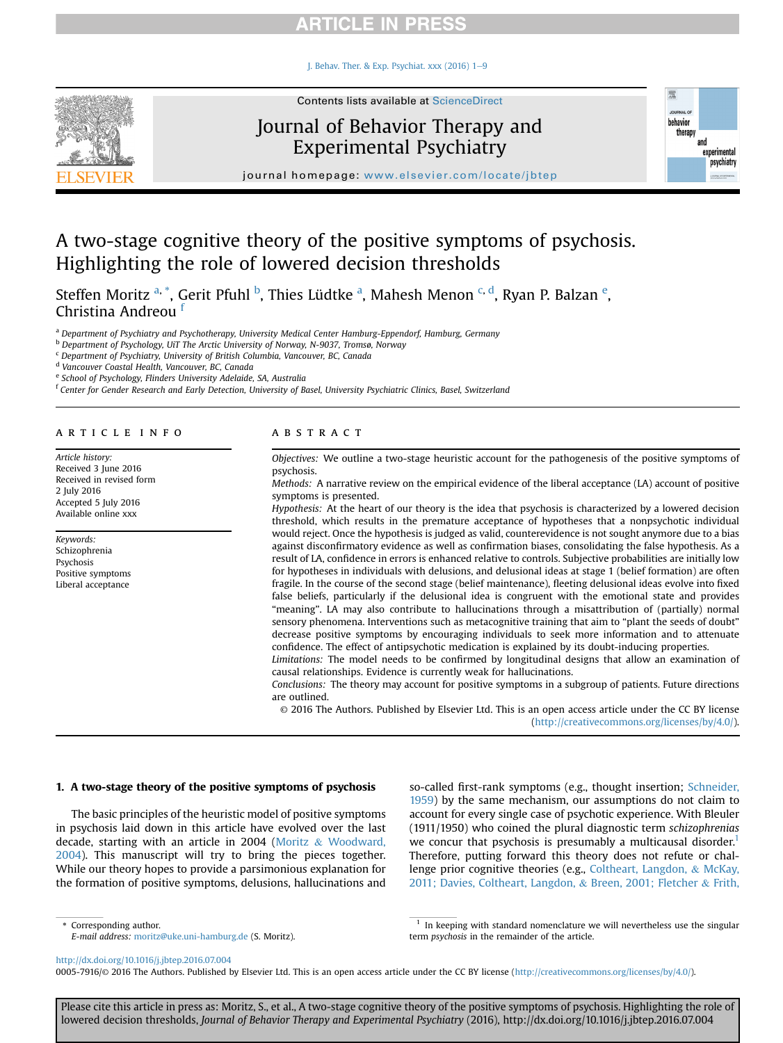I. Behav. Ther. & Exp. Psychiat.  $xxx(2016)$  1-[9](http://dx.doi.org/10.1016/j.jbtep.2016.07.004)



# Journal of Behavior Therapy and Experimental Psychiatry



journal homepage: [www.elsevier.com/locate/jbtep](http://www.elsevier.com/locate/jbtep)

# A two-stage cognitive theory of the positive symptoms of psychosis. Highlighting the role of lowered decision thresholds

Steffen Moritz <sup>a, \*</sup>, Gerit Pfuhl <sup>b</sup>, Thies Lüdtke <sup>a</sup>, Mahesh Menon <sup>c, d</sup>, Ryan P. Balzan <sup>e</sup>, Christina Andreou <sup>f</sup>

a Department of Psychiatry and Psychotherapy, University Medical Center Hamburg-Eppendorf, Hamburg, Germany

<sup>b</sup> Department of Psychology, UiT The Arctic University of Norway, N-9037, Tromsø, Norway

 $c$  Department of Psychiatry, University of British Columbia, Vancouver, BC, Canada

<sup>d</sup> Vancouver Coastal Health, Vancouver, BC, Canada

<sup>e</sup> School of Psychology, Flinders University Adelaide, SA, Australia

<sup>f</sup> Center for Gender Research and Early Detection, University of Basel, University Psychiatric Clinics, Basel, Switzerland

#### article info

Article history: Received 3 June 2016 Received in revised form 2 July 2016 Accepted 5 July 2016 Available online xxx

Keywords: Schizophrenia Psychosis Positive symptoms Liberal acceptance

#### **ABSTRACT**

Objectives: We outline a two-stage heuristic account for the pathogenesis of the positive symptoms of psychosis.

Methods: A narrative review on the empirical evidence of the liberal acceptance (LA) account of positive symptoms is presented.

Hypothesis: At the heart of our theory is the idea that psychosis is characterized by a lowered decision threshold, which results in the premature acceptance of hypotheses that a nonpsychotic individual would reject. Once the hypothesis is judged as valid, counterevidence is not sought anymore due to a bias against disconfirmatory evidence as well as confirmation biases, consolidating the false hypothesis. As a result of LA, confidence in errors is enhanced relative to controls. Subjective probabilities are initially low for hypotheses in individuals with delusions, and delusional ideas at stage 1 (belief formation) are often fragile. In the course of the second stage (belief maintenance), fleeting delusional ideas evolve into fixed false beliefs, particularly if the delusional idea is congruent with the emotional state and provides "meaning". LA may also contribute to hallucinations through a misattribution of (partially) normal sensory phenomena. Interventions such as metacognitive training that aim to "plant the seeds of doubt" decrease positive symptoms by encouraging individuals to seek more information and to attenuate confidence. The effect of antipsychotic medication is explained by its doubt-inducing properties.

Limitations: The model needs to be confirmed by longitudinal designs that allow an examination of causal relationships. Evidence is currently weak for hallucinations.

Conclusions: The theory may account for positive symptoms in a subgroup of patients. Future directions are outlined.

© 2016 The Authors. Published by Elsevier Ltd. This is an open access article under the CC BY license [\(http://creativecommons.org/licenses/by/4.0/](http://creativecommons.org/licenses/by/4.0/)).

#### 1. A two-stage theory of the positive symptoms of psychosis

The basic principles of the heuristic model of positive symptoms in psychosis laid down in this article have evolved over the last decade, starting with an article in 2004 ([Moritz](#page-8-0) & [Woodward,](#page-8-0) [2004\)](#page-8-0). This manuscript will try to bring the pieces together. While our theory hopes to provide a parsimonious explanation for the formation of positive symptoms, delusions, hallucinations and

so-called first-rank symptoms (e.g., thought insertion; [Schneider,](#page-8-0) [1959\)](#page-8-0) by the same mechanism, our assumptions do not claim to account for every single case of psychotic experience. With Bleuler (1911/1950) who coined the plural diagnostic term schizophrenias we concur that psychosis is presumably a multicausal disorder.<sup>1</sup> Therefore, putting forward this theory does not refute or challenge prior cognitive theories (e.g., [Coltheart, Langdon,](#page-6-0) & [McKay,](#page-6-0) [2011; Davies, Coltheart, Langdon,](#page-6-0) & [Breen, 2001; Fletcher](#page-6-0) & [Frith,](#page-6-0)

\* Corresponding author.

E-mail address: [moritz@uke.uni-hamburg.de](mailto:moritz@uke.uni-hamburg.de) (S. Moritz).

In keeping with standard nomenclature we will nevertheless use the singular term psychosis in the remainder of the article.

<http://dx.doi.org/10.1016/j.jbtep.2016.07.004>

0005-7916/© 2016 The Authors. Published by Elsevier Ltd. This is an open access article under the CC BY license ([http://creativecommons.org/licenses/by/4.0/\)](http://creativecommons.org/licenses/by/4.0/).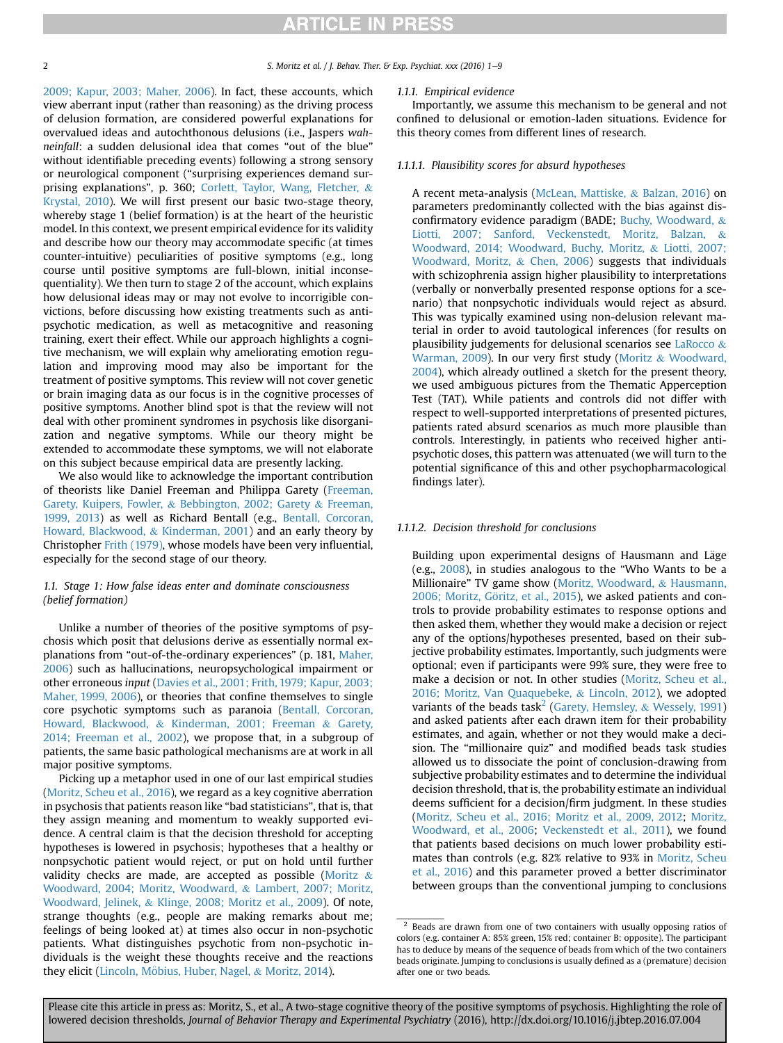### 2 S. Moritz et al. / J. Behav. Ther. & Exp. Psychiat. xxx (2016) 1–9

[2009; Kapur, 2003; Maher, 2006](#page-6-0)). In fact, these accounts, which view aberrant input (rather than reasoning) as the driving process of delusion formation, are considered powerful explanations for overvalued ideas and autochthonous delusions (i.e., Jaspers wahneinfall: a sudden delusional idea that comes "out of the blue" without identifiable preceding events) following a strong sensory or neurological component ("surprising experiences demand surprising explanations", p. 360; [Corlett, Taylor, Wang, Fletcher,](#page-6-0) & [Krystal, 2010\)](#page-6-0). We will first present our basic two-stage theory, whereby stage 1 (belief formation) is at the heart of the heuristic model. In this context, we present empirical evidence for its validity and describe how our theory may accommodate specific (at times counter-intuitive) peculiarities of positive symptoms (e.g., long course until positive symptoms are full-blown, initial inconsequentiality). We then turn to stage 2 of the account, which explains how delusional ideas may or may not evolve to incorrigible convictions, before discussing how existing treatments such as antipsychotic medication, as well as metacognitive and reasoning training, exert their effect. While our approach highlights a cognitive mechanism, we will explain why ameliorating emotion regulation and improving mood may also be important for the treatment of positive symptoms. This review will not cover genetic or brain imaging data as our focus is in the cognitive processes of positive symptoms. Another blind spot is that the review will not deal with other prominent syndromes in psychosis like disorganization and negative symptoms. While our theory might be extended to accommodate these symptoms, we will not elaborate on this subject because empirical data are presently lacking.

We also would like to acknowledge the important contribution of theorists like Daniel Freeman and Philippa Garety [\(Freeman,](#page-7-0) [Garety, Kuipers, Fowler,](#page-7-0) & [Bebbington, 2002; Garety](#page-7-0) & [Freeman,](#page-7-0) [1999, 2013\)](#page-7-0) as well as Richard Bentall (e.g., [Bentall, Corcoran,](#page-6-0) [Howard, Blackwood,](#page-6-0) & [Kinderman, 2001](#page-6-0)) and an early theory by Christopher [Frith \(1979\),](#page-7-0) whose models have been very influential, especially for the second stage of our theory.

## 1.1. Stage 1: How false ideas enter and dominate consciousness (belief formation)

Unlike a number of theories of the positive symptoms of psychosis which posit that delusions derive as essentially normal explanations from "out-of-the-ordinary experiences" (p. 181, [Maher,](#page-7-0) [2006](#page-7-0)) such as hallucinations, neuropsychological impairment or other erroneous input [\(Davies et al., 2001; Frith, 1979; Kapur, 2003;](#page-6-0) [Maher, 1999, 2006\)](#page-6-0), or theories that confine themselves to single core psychotic symptoms such as paranoia ([Bentall, Corcoran,](#page-6-0) [Howard, Blackwood,](#page-6-0) & [Kinderman, 2001; Freeman](#page-6-0) & [Garety,](#page-6-0) [2014; Freeman et al., 2002\)](#page-6-0), we propose that, in a subgroup of patients, the same basic pathological mechanisms are at work in all major positive symptoms.

Picking up a metaphor used in one of our last empirical studies ([Moritz, Scheu et al., 2016\)](#page-8-0), we regard as a key cognitive aberration in psychosis that patients reason like "bad statisticians", that is, that they assign meaning and momentum to weakly supported evidence. A central claim is that the decision threshold for accepting hypotheses is lowered in psychosis; hypotheses that a healthy or nonpsychotic patient would reject, or put on hold until further validity checks are made, are accepted as possible [\(Moritz](#page-8-0)  $\&$ [Woodward, 2004; Moritz, Woodward,](#page-8-0) & [Lambert, 2007; Moritz,](#page-8-0) [Woodward, Jelinek,](#page-8-0) & [Klinge, 2008; Moritz et al., 2009](#page-8-0)). Of note, strange thoughts (e.g., people are making remarks about me; feelings of being looked at) at times also occur in non-psychotic patients. What distinguishes psychotic from non-psychotic individuals is the weight these thoughts receive and the reactions they elicit ([Lincoln, M](#page-7-0)ö[bius, Huber, Nagel,](#page-7-0) & [Moritz, 2014\)](#page-7-0).

#### 1.1.1. Empirical evidence

Importantly, we assume this mechanism to be general and not confined to delusional or emotion-laden situations. Evidence for this theory comes from different lines of research.

#### 1.1.1.1. Plausibility scores for absurd hypotheses

A recent meta-analysis ([McLean, Mattiske,](#page-7-0) & [Balzan, 2016](#page-7-0)) on parameters predominantly collected with the bias against disconfirmatory evidence paradigm (BADE; [Buchy, Woodward,](#page-6-0) & [Liotti, 2007; Sanford, Veckenstedt, Moritz, Balzan,](#page-6-0) & [Woodward, 2014; Woodward, Buchy, Moritz,](#page-6-0) & [Liotti, 2007;](#page-6-0) [Woodward, Moritz,](#page-6-0) & [Chen, 2006](#page-6-0)) suggests that individuals with schizophrenia assign higher plausibility to interpretations (verbally or nonverbally presented response options for a scenario) that nonpsychotic individuals would reject as absurd. This was typically examined using non-delusion relevant material in order to avoid tautological inferences (for results on plausibility judgements for delusional scenarios see [LaRocco](#page-7-0) & [Warman, 2009\)](#page-7-0). In our very first study [\(Moritz](#page-8-0) & [Woodward,](#page-8-0) [2004](#page-8-0)), which already outlined a sketch for the present theory, we used ambiguous pictures from the Thematic Apperception Test (TAT). While patients and controls did not differ with respect to well-supported interpretations of presented pictures, patients rated absurd scenarios as much more plausible than controls. Interestingly, in patients who received higher antipsychotic doses, this pattern was attenuated (we will turn to the potential significance of this and other psychopharmacological findings later).

### 1.1.1.2. Decision threshold for conclusions

Building upon experimental designs of Hausmann and Läge (e.g., [2008\)](#page-7-0), in studies analogous to the "Who Wants to be a Millionaire" TV game show [\(Moritz, Woodward,](#page-8-0) & [Hausmann,](#page-8-0) 2006; Moritz, Göritz, et al., 2015), we asked patients and controls to provide probability estimates to response options and then asked them, whether they would make a decision or reject any of the options/hypotheses presented, based on their subjective probability estimates. Importantly, such judgments were optional; even if participants were 99% sure, they were free to make a decision or not. In other studies ([Moritz, Scheu et al.,](#page-8-0) [2016; Moritz, Van Quaquebeke,](#page-8-0) & [Lincoln, 2012](#page-8-0)), we adopted variants of the beads task<sup>2</sup> [\(Garety, Hemsley,](#page-7-0) & [Wessely, 1991\)](#page-7-0) and asked patients after each drawn item for their probability estimates, and again, whether or not they would make a decision. The "millionaire quiz" and modified beads task studies allowed us to dissociate the point of conclusion-drawing from subjective probability estimates and to determine the individual decision threshold, that is, the probability estimate an individual deems sufficient for a decision/firm judgment. In these studies ([Moritz, Scheu et al., 2016; Moritz et al., 2009, 2012](#page-8-0); [Moritz,](#page-8-0) [Woodward, et al., 2006](#page-8-0); [Veckenstedt et al., 2011\)](#page-8-0), we found that patients based decisions on much lower probability estimates than controls (e.g. 82% relative to 93% in [Moritz, Scheu](#page-8-0) [et al., 2016](#page-8-0)) and this parameter proved a better discriminator between groups than the conventional jumping to conclusions

<sup>&</sup>lt;sup>2</sup> Beads are drawn from one of two containers with usually opposing ratios of colors (e.g. container A: 85% green, 15% red; container B: opposite). The participant has to deduce by means of the sequence of beads from which of the two containers beads originate. Jumping to conclusions is usually defined as a (premature) decision after one or two beads.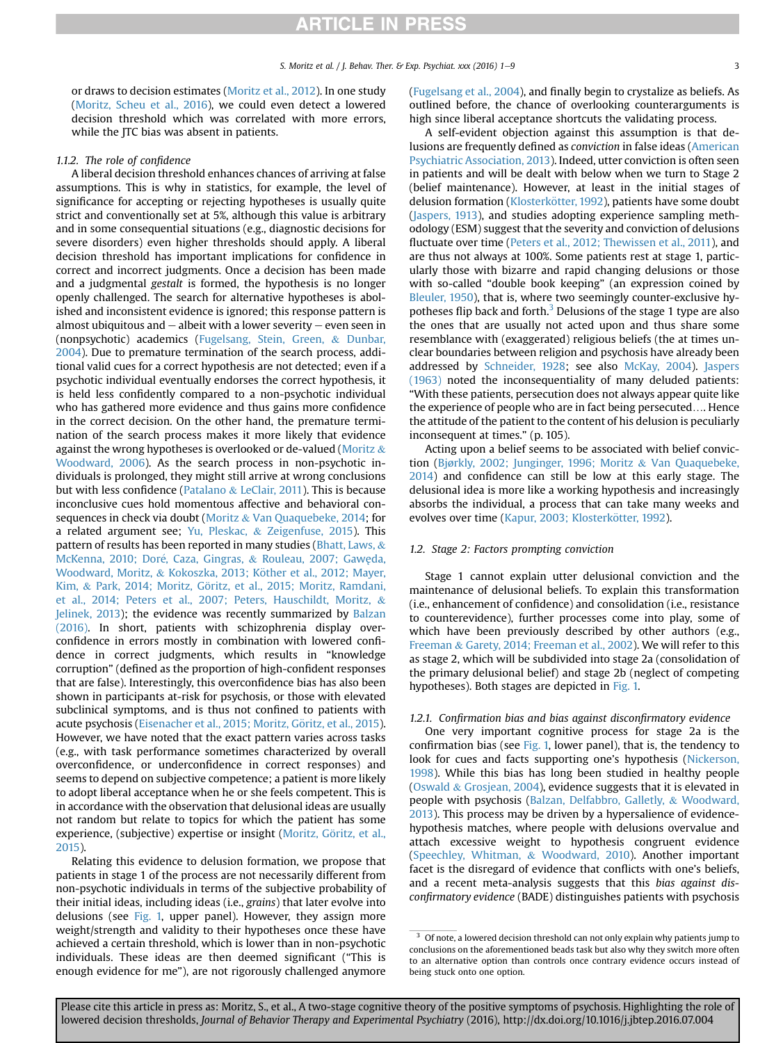or draws to decision estimates [\(Moritz et al., 2012](#page-8-0)). In one study [\(Moritz, Scheu et al., 2016\)](#page-8-0), we could even detect a lowered decision threshold which was correlated with more errors, while the ITC bias was absent in patients.

### 1.1.2. The role of confidence

A liberal decision threshold enhances chances of arriving at false assumptions. This is why in statistics, for example, the level of significance for accepting or rejecting hypotheses is usually quite strict and conventionally set at 5%, although this value is arbitrary and in some consequential situations (e.g., diagnostic decisions for severe disorders) even higher thresholds should apply. A liberal decision threshold has important implications for confidence in correct and incorrect judgments. Once a decision has been made and a judgmental gestalt is formed, the hypothesis is no longer openly challenged. The search for alternative hypotheses is abolished and inconsistent evidence is ignored; this response pattern is almost ubiquitous and  $-$  albeit with a lower severity  $-$  even seen in (nonpsychotic) academics [\(Fugelsang, Stein, Green,](#page-7-0) & [Dunbar,](#page-7-0) [2004\)](#page-7-0). Due to premature termination of the search process, additional valid cues for a correct hypothesis are not detected; even if a psychotic individual eventually endorses the correct hypothesis, it is held less confidently compared to a non-psychotic individual who has gathered more evidence and thus gains more confidence in the correct decision. On the other hand, the premature termination of the search process makes it more likely that evidence against the wrong hypotheses is overlooked or de-valued [\(Moritz](#page-8-0) & [Woodward, 2006](#page-8-0)). As the search process in non-psychotic individuals is prolonged, they might still arrive at wrong conclusions but with less confidence ([Patalano](#page-8-0) & [LeClair, 2011](#page-8-0)). This is because inconclusive cues hold momentous affective and behavioral consequences in check via doubt ([Moritz](#page-8-0) & [Van Quaquebeke, 2014](#page-8-0); for a related argument see; [Yu, Pleskac,](#page-8-0) & [Zeigenfuse, 2015\)](#page-8-0). This pattern of results has been reported in many studies ([Bhatt, Laws,](#page-6-0) & McKenna, 2010; Doré, Caza, Gingras, & [Rouleau, 2007; Gaw](#page-6-0)ę[da,](#page-6-0) [Woodward, Moritz,](#page-6-0) & Kokoszka, 2013; Köther et al., 2012; Mayer, [Kim,](#page-6-0) & Park, 2014; Moritz, Göritz, et al., 2015; Moritz, Ramdani, [et al., 2014; Peters et al., 2007; Peters, Hauschildt, Moritz,](#page-6-0) & [Jelinek, 2013\)](#page-6-0); the evidence was recently summarized by [Balzan](#page-6-0) [\(2016\).](#page-6-0) In short, patients with schizophrenia display overconfidence in errors mostly in combination with lowered confidence in correct judgments, which results in "knowledge corruption" (defined as the proportion of high-confident responses that are false). Interestingly, this overconfidence bias has also been shown in participants at-risk for psychosis, or those with elevated subclinical symptoms, and is thus not confined to patients with acute psychosis (Eisenacher et al., 2015; Moritz, Göritz, et al., 2015). However, we have noted that the exact pattern varies across tasks (e.g., with task performance sometimes characterized by overall overconfidence, or underconfidence in correct responses) and seems to depend on subjective competence; a patient is more likely to adopt liberal acceptance when he or she feels competent. This is in accordance with the observation that delusional ideas are usually not random but relate to topics for which the patient has some experience, (subjective) expertise or insight (Moritz, Göritz, et al., [2015\)](#page-8-0).

Relating this evidence to delusion formation, we propose that patients in stage 1 of the process are not necessarily different from non-psychotic individuals in terms of the subjective probability of their initial ideas, including ideas (i.e., grains) that later evolve into delusions (see [Fig. 1,](#page-3-0) upper panel). However, they assign more weight/strength and validity to their hypotheses once these have achieved a certain threshold, which is lower than in non-psychotic individuals. These ideas are then deemed significant ("This is enough evidence for me"), are not rigorously challenged anymore

([Fugelsang et al., 2004](#page-7-0)), and finally begin to crystalize as beliefs. As outlined before, the chance of overlooking counterarguments is high since liberal acceptance shortcuts the validating process.

A self-evident objection against this assumption is that delusions are frequently defined as conviction in false ideas [\(American](#page-6-0) [Psychiatric Association, 2013\)](#page-6-0). Indeed, utter conviction is often seen in patients and will be dealt with below when we turn to Stage 2 (belief maintenance). However, at least in the initial stages of delusion formation (Klosterkötter, 1992), patients have some doubt ([Jaspers, 1913\)](#page-7-0), and studies adopting experience sampling methodology (ESM) suggest that the severity and conviction of delusions fluctuate over time [\(Peters et al., 2012; Thewissen et al., 2011](#page-8-0)), and are thus not always at 100%. Some patients rest at stage 1, particularly those with bizarre and rapid changing delusions or those with so-called "double book keeping" (an expression coined by [Bleuler, 1950](#page-6-0)), that is, where two seemingly counter-exclusive hypotheses flip back and forth.<sup>3</sup> Delusions of the stage 1 type are also the ones that are usually not acted upon and thus share some resemblance with (exaggerated) religious beliefs (the at times unclear boundaries between religion and psychosis have already been addressed by [Schneider, 1928](#page-8-0); see also [McKay, 2004](#page-7-0)). [Jaspers](#page-7-0) [\(1963\)](#page-7-0) noted the inconsequentiality of many deluded patients: "With these patients, persecution does not always appear quite like the experience of people who are in fact being persecuted…. Hence the attitude of the patient to the content of his delusion is peculiarly inconsequent at times." (p. 105).

Acting upon a belief seems to be associated with belief conviction [\(Bjørkly, 2002; Junginger, 1996; Moritz](#page-6-0) & [Van Quaquebeke,](#page-6-0) [2014\)](#page-6-0) and confidence can still be low at this early stage. The delusional idea is more like a working hypothesis and increasingly absorbs the individual, a process that can take many weeks and evolves over time (Kapur, 2003; Klosterkötter, 1992).

#### 1.2. Stage 2: Factors prompting conviction

Stage 1 cannot explain utter delusional conviction and the maintenance of delusional beliefs. To explain this transformation (i.e., enhancement of confidence) and consolidation (i.e., resistance to counterevidence), further processes come into play, some of which have been previously described by other authors (e.g., [Freeman](#page-7-0) & [Garety, 2014; Freeman et al., 2002\)](#page-7-0). We will refer to this as stage 2, which will be subdivided into stage 2a (consolidation of the primary delusional belief) and stage 2b (neglect of competing hypotheses). Both stages are depicted in [Fig. 1.](#page-3-0)

#### 1.2.1. Confirmation bias and bias against disconfirmatory evidence

One very important cognitive process for stage 2a is the confirmation bias (see [Fig. 1,](#page-3-0) lower panel), that is, the tendency to look for cues and facts supporting one's hypothesis ([Nickerson,](#page-8-0) [1998\)](#page-8-0). While this bias has long been studied in healthy people ([Oswald](#page-8-0) & [Grosjean, 2004](#page-8-0)), evidence suggests that it is elevated in people with psychosis [\(Balzan, Delfabbro, Galletly,](#page-6-0) & [Woodward,](#page-6-0) [2013\)](#page-6-0). This process may be driven by a hypersalience of evidencehypothesis matches, where people with delusions overvalue and attach excessive weight to hypothesis congruent evidence ([Speechley, Whitman,](#page-8-0) & [Woodward, 2010](#page-8-0)). Another important facet is the disregard of evidence that conflicts with one's beliefs, and a recent meta-analysis suggests that this bias against disconfirmatory evidence (BADE) distinguishes patients with psychosis

 $3$  Of note, a lowered decision threshold can not only explain why patients jump to conclusions on the aforementioned beads task but also why they switch more often to an alternative option than controls once contrary evidence occurs instead of being stuck onto one option.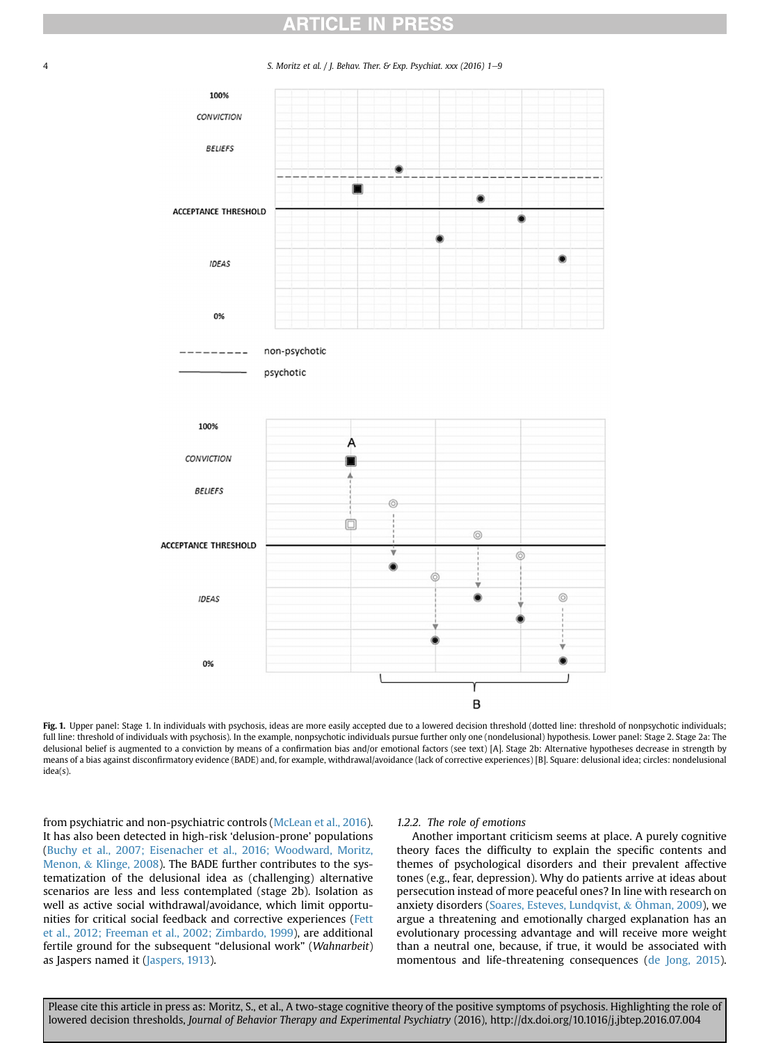<span id="page-3-0"></span>

4 S. Moritz et al. / J. Behav. Ther. & Exp. Psychiat. xxx (2016) 1-9



Fig. 1. Upper panel: Stage 1. In individuals with psychosis, ideas are more easily accepted due to a lowered decision threshold (dotted line: threshold of nonpsychotic individuals; full line: threshold of individuals with psychosis). In the example, nonpsychotic individuals pursue further only one (nondelusional) hypothesis. Lower panel: Stage 2. Stage 2a: The delusional belief is augmented to a conviction by means of a confirmation bias and/or emotional factors (see text) [A]. Stage 2b: Alternative hypotheses decrease in strength by means of a bias against disconfirmatory evidence (BADE) and, for example, withdrawal/avoidance (lack of corrective experiences) [B]. Square: delusional idea; circles: nondelusional idea(s).

from psychiatric and non-psychiatric controls [\(McLean et al., 2016\)](#page-7-0). It has also been detected in high-risk 'delusion-prone' populations ([Buchy et al., 2007; Eisenacher et al., 2016; Woodward, Moritz,](#page-6-0) [Menon,](#page-6-0) & [Klinge, 2008\)](#page-6-0). The BADE further contributes to the systematization of the delusional idea as (challenging) alternative scenarios are less and less contemplated (stage 2b). Isolation as well as active social withdrawal/avoidance, which limit opportunities for critical social feedback and corrective experiences [\(Fett](#page-7-0) [et al., 2012; Freeman et al., 2002; Zimbardo, 1999](#page-7-0)), are additional fertile ground for the subsequent "delusional work" (Wahnarbeit) as Jaspers named it ([Jaspers, 1913\)](#page-7-0).

### 1.2.2. The role of emotions

Another important criticism seems at place. A purely cognitive theory faces the difficulty to explain the specific contents and themes of psychological disorders and their prevalent affective tones (e.g., fear, depression). Why do patients arrive at ideas about persecution instead of more peaceful ones? In line with research on anxiety disorders ([Soares, Esteves, Lundqvist,](#page-8-0)  $&$  [Ohman, 2009](#page-8-0)), we argue a threatening and emotionally charged explanation has an evolutionary processing advantage and will receive more weight than a neutral one, because, if true, it would be associated with momentous and life-threatening consequences [\(de Jong, 2015\)](#page-7-0).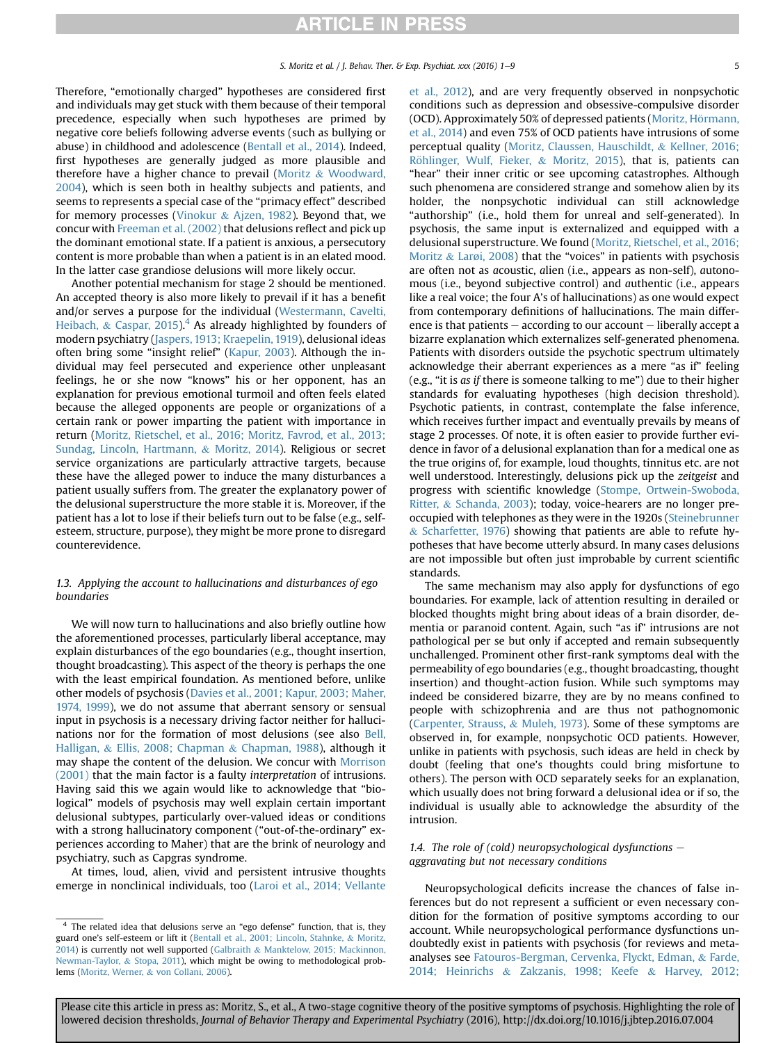Therefore, "emotionally charged" hypotheses are considered first and individuals may get stuck with them because of their temporal precedence, especially when such hypotheses are primed by negative core beliefs following adverse events (such as bullying or abuse) in childhood and adolescence [\(Bentall et al., 2014](#page-6-0)). Indeed, first hypotheses are generally judged as more plausible and therefore have a higher chance to prevail [\(Moritz](#page-8-0) & [Woodward,](#page-8-0) [2004\)](#page-8-0), which is seen both in healthy subjects and patients, and seems to represents a special case of the "primacy effect" described for memory processes [\(Vinokur](#page-8-0) & [Ajzen, 1982](#page-8-0)). Beyond that, we concur with [Freeman et al. \(2002\)](#page-7-0) that delusions reflect and pick up the dominant emotional state. If a patient is anxious, a persecutory content is more probable than when a patient is in an elated mood. In the latter case grandiose delusions will more likely occur.

Another potential mechanism for stage 2 should be mentioned. An accepted theory is also more likely to prevail if it has a benefit and/or serves a purpose for the individual [\(Westermann, Cavelti,](#page-8-0) [Heibach,](#page-8-0) & [Caspar, 2015\)](#page-8-0).<sup>4</sup> As already highlighted by founders of modern psychiatry ([Jaspers, 1913; Kraepelin, 1919\)](#page-7-0), delusional ideas often bring some "insight relief" [\(Kapur, 2003\)](#page-7-0). Although the individual may feel persecuted and experience other unpleasant feelings, he or she now "knows" his or her opponent, has an explanation for previous emotional turmoil and often feels elated because the alleged opponents are people or organizations of a certain rank or power imparting the patient with importance in return [\(Moritz, Rietschel, et al., 2016; Moritz, Favrod, et al., 2013;](#page-8-0) [Sundag, Lincoln, Hartmann,](#page-8-0) & [Moritz, 2014\)](#page-8-0). Religious or secret service organizations are particularly attractive targets, because these have the alleged power to induce the many disturbances a patient usually suffers from. The greater the explanatory power of the delusional superstructure the more stable it is. Moreover, if the patient has a lot to lose if their beliefs turn out to be false (e.g., selfesteem, structure, purpose), they might be more prone to disregard counterevidence.

### 1.3. Applying the account to hallucinations and disturbances of ego boundaries

We will now turn to hallucinations and also briefly outline how the aforementioned processes, particularly liberal acceptance, may explain disturbances of the ego boundaries (e.g., thought insertion, thought broadcasting). This aspect of the theory is perhaps the one with the least empirical foundation. As mentioned before, unlike other models of psychosis ([Davies et al., 2001; Kapur, 2003; Maher,](#page-6-0) [1974, 1999](#page-6-0)), we do not assume that aberrant sensory or sensual input in psychosis is a necessary driving factor neither for hallucinations nor for the formation of most delusions (see also [Bell,](#page-6-0) [Halligan,](#page-6-0) & [Ellis, 2008; Chapman](#page-6-0) & [Chapman, 1988\)](#page-6-0), although it may shape the content of the delusion. We concur with [Morrison](#page-8-0) [\(2001\)](#page-8-0) that the main factor is a faulty interpretation of intrusions. Having said this we again would like to acknowledge that "biological" models of psychosis may well explain certain important delusional subtypes, particularly over-valued ideas or conditions with a strong hallucinatory component ("out-of-the-ordinary" experiences according to Maher) that are the brink of neurology and psychiatry, such as Capgras syndrome.

At times, loud, alien, vivid and persistent intrusive thoughts emerge in nonclinical individuals, too [\(Laroi et al., 2014; Vellante](#page-7-0) [et al., 2012\)](#page-7-0), and are very frequently observed in nonpsychotic conditions such as depression and obsessive-compulsive disorder (OCD). Approximately 50% of depressed patients (Moritz, Hörmann, [et al., 2014](#page-8-0)) and even 75% of OCD patients have intrusions of some perceptual quality ([Moritz, Claussen, Hauschildt,](#page-7-0) & [Kellner, 2016;](#page-7-0) Röhlinger, Wulf, Fieker, & [Moritz, 2015](#page-7-0)), that is, patients can "hear" their inner critic or see upcoming catastrophes. Although such phenomena are considered strange and somehow alien by its holder, the nonpsychotic individual can still acknowledge "authorship" (i.e., hold them for unreal and self-generated). In psychosis, the same input is externalized and equipped with a delusional superstructure. We found [\(Moritz, Rietschel, et al., 2016;](#page-8-0) [Moritz](#page-8-0) & [Lar](#page-8-0)ø[i, 2008](#page-8-0)) that the "voices" in patients with psychosis are often not as acoustic, alien (i.e., appears as non-self), autonomous (i.e., beyond subjective control) and authentic (i.e., appears like a real voice; the four A's of hallucinations) as one would expect from contemporary definitions of hallucinations. The main difference is that patients  $-$  according to our account  $-$  liberally accept a bizarre explanation which externalizes self-generated phenomena. Patients with disorders outside the psychotic spectrum ultimately acknowledge their aberrant experiences as a mere "as if" feeling (e.g., "it is as if there is someone talking to me") due to their higher standards for evaluating hypotheses (high decision threshold). Psychotic patients, in contrast, contemplate the false inference, which receives further impact and eventually prevails by means of stage 2 processes. Of note, it is often easier to provide further evidence in favor of a delusional explanation than for a medical one as the true origins of, for example, loud thoughts, tinnitus etc. are not well understood. Interestingly, delusions pick up the zeitgeist and progress with scientific knowledge ([Stompe, Ortwein-Swoboda,](#page-8-0) [Ritter,](#page-8-0) & [Schanda, 2003\)](#page-8-0); today, voice-hearers are no longer preoccupied with telephones as they were in the 1920s ([Steinebrunner](#page-8-0) & [Scharfetter, 1976\)](#page-8-0) showing that patients are able to refute hypotheses that have become utterly absurd. In many cases delusions are not impossible but often just improbable by current scientific standards.

The same mechanism may also apply for dysfunctions of ego boundaries. For example, lack of attention resulting in derailed or blocked thoughts might bring about ideas of a brain disorder, dementia or paranoid content. Again, such "as if" intrusions are not pathological per se but only if accepted and remain subsequently unchallenged. Prominent other first-rank symptoms deal with the permeability of ego boundaries (e.g., thought broadcasting, thought insertion) and thought-action fusion. While such symptoms may indeed be considered bizarre, they are by no means confined to people with schizophrenia and are thus not pathognomonic ([Carpenter, Strauss,](#page-6-0) & [Muleh, 1973\)](#page-6-0). Some of these symptoms are observed in, for example, nonpsychotic OCD patients. However, unlike in patients with psychosis, such ideas are held in check by doubt (feeling that one's thoughts could bring misfortune to others). The person with OCD separately seeks for an explanation, which usually does not bring forward a delusional idea or if so, the individual is usually able to acknowledge the absurdity of the intrusion.

### 1.4. The role of (cold) neuropsychological dysfunctions  $$ aggravating but not necessary conditions

Neuropsychological deficits increase the chances of false inferences but do not represent a sufficient or even necessary condition for the formation of positive symptoms according to our account. While neuropsychological performance dysfunctions undoubtedly exist in patients with psychosis (for reviews and metaanalyses see [Fatouros-Bergman, Cervenka, Flyckt, Edman,](#page-7-0) & [Farde,](#page-7-0) [2014; Heinrichs](#page-7-0) & [Zakzanis, 1998; Keefe](#page-7-0) & [Harvey, 2012;](#page-7-0)

<sup>&</sup>lt;sup>4</sup> The related idea that delusions serve an "ego defense" function, that is, they guard one's self-esteem or lift it [\(Bentall et al., 2001; Lincoln, Stahnke,](#page-6-0) & [Moritz,](#page-6-0) [2014](#page-6-0)) is currently not well supported ([Galbraith](#page-7-0) & [Manktelow, 2015; Mackinnon,](#page-7-0) [Newman-Taylor,](#page-7-0) & [Stopa, 2011\)](#page-7-0), which might be owing to methodological problems ([Moritz, Werner,](#page-8-0) & [von Collani, 2006\)](#page-8-0).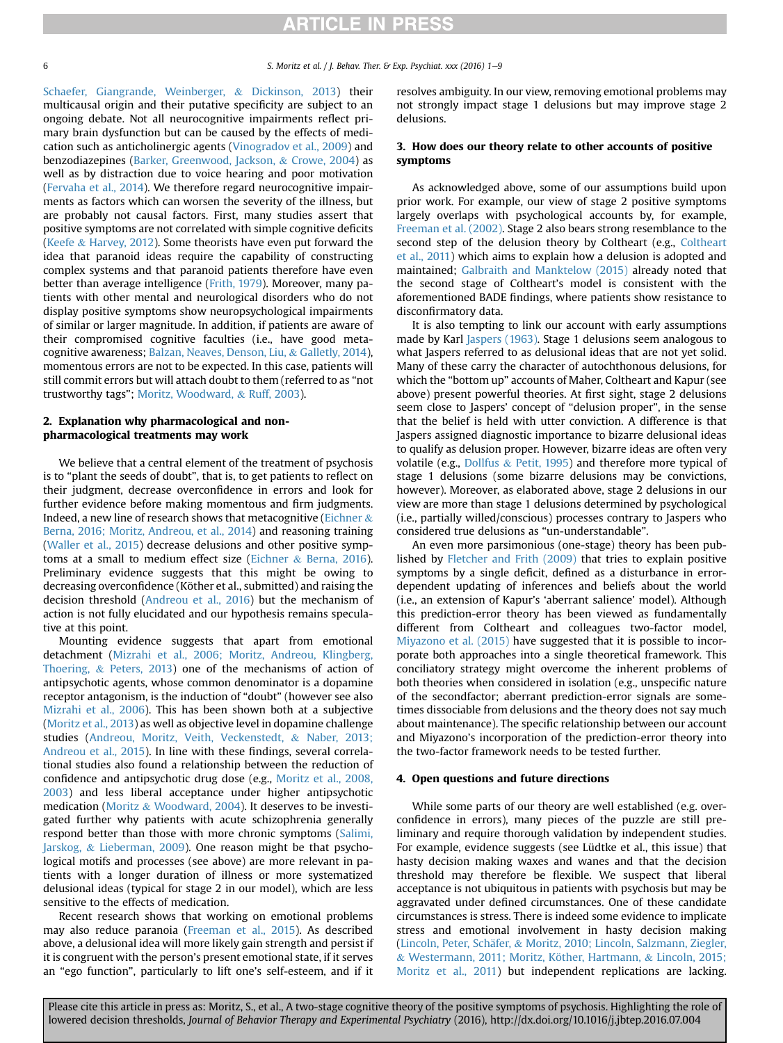5. Moritz et al. / J. Behav. Ther. & Exp. Psychiat. xxx (2016) 1-9

[Schaefer, Giangrande, Weinberger,](#page-7-0) & [Dickinson, 2013\)](#page-7-0) their multicausal origin and their putative specificity are subject to an ongoing debate. Not all neurocognitive impairments reflect primary brain dysfunction but can be caused by the effects of medication such as anticholinergic agents [\(Vinogradov et al., 2009](#page-8-0)) and benzodiazepines ([Barker, Greenwood, Jackson,](#page-6-0) & [Crowe, 2004](#page-6-0)) as well as by distraction due to voice hearing and poor motivation ([Fervaha et al., 2014](#page-7-0)). We therefore regard neurocognitive impairments as factors which can worsen the severity of the illness, but are probably not causal factors. First, many studies assert that positive symptoms are not correlated with simple cognitive deficits ([Keefe](#page-7-0) & [Harvey, 2012](#page-7-0)). Some theorists have even put forward the idea that paranoid ideas require the capability of constructing complex systems and that paranoid patients therefore have even better than average intelligence [\(Frith, 1979](#page-7-0)). Moreover, many patients with other mental and neurological disorders who do not display positive symptoms show neuropsychological impairments of similar or larger magnitude. In addition, if patients are aware of their compromised cognitive faculties (i.e., have good metacognitive awareness; [Balzan, Neaves, Denson, Liu,](#page-6-0) & [Galletly, 2014\)](#page-6-0), momentous errors are not to be expected. In this case, patients will still commit errors but will attach doubt to them (referred to as "not trustworthy tags"; [Moritz, Woodward,](#page-8-0) & [Ruff, 2003](#page-8-0)).

### 2. Explanation why pharmacological and nonpharmacological treatments may work

We believe that a central element of the treatment of psychosis is to "plant the seeds of doubt", that is, to get patients to reflect on their judgment, decrease overconfidence in errors and look for further evidence before making momentous and firm judgments. Indeed, a new line of research shows that metacognitive [\(Eichner](#page-7-0) & [Berna, 2016; Moritz, Andreou, et al., 2014\)](#page-7-0) and reasoning training ([Waller et al., 2015\)](#page-8-0) decrease delusions and other positive symptoms at a small to medium effect size ([Eichner](#page-7-0) & [Berna, 2016\)](#page-7-0). Preliminary evidence suggests that this might be owing to decreasing overconfidence (Köther et al., submitted) and raising the decision threshold ([Andreou et al., 2016](#page-6-0)) but the mechanism of action is not fully elucidated and our hypothesis remains speculative at this point.

Mounting evidence suggests that apart from emotional detachment ([Mizrahi et al., 2006; Moritz, Andreou, Klingberg,](#page-7-0) [Thoering,](#page-7-0) & [Peters, 2013](#page-7-0)) one of the mechanisms of action of antipsychotic agents, whose common denominator is a dopamine receptor antagonism, is the induction of "doubt" (however see also [Mizrahi et al., 2006](#page-7-0)). This has been shown both at a subjective ([Moritz et al., 2013](#page-7-0)) as well as objective level in dopamine challenge studies [\(Andreou, Moritz, Veith, Veckenstedt,](#page-6-0) & [Naber, 2013;](#page-6-0) [Andreou et al., 2015](#page-6-0)). In line with these findings, several correlational studies also found a relationship between the reduction of confidence and antipsychotic drug dose (e.g., [Moritz et al., 2008,](#page-8-0) [2003](#page-8-0)) and less liberal acceptance under higher antipsychotic medication ([Moritz](#page-8-0) & [Woodward, 2004\)](#page-8-0). It deserves to be investigated further why patients with acute schizophrenia generally respond better than those with more chronic symptoms ([Salimi,](#page-8-0) [Jarskog,](#page-8-0) & [Lieberman, 2009](#page-8-0)). One reason might be that psychological motifs and processes (see above) are more relevant in patients with a longer duration of illness or more systematized delusional ideas (typical for stage 2 in our model), which are less sensitive to the effects of medication.

Recent research shows that working on emotional problems may also reduce paranoia ([Freeman et al., 2015\)](#page-7-0). As described above, a delusional idea will more likely gain strength and persist if it is congruent with the person's present emotional state, if it serves an "ego function", particularly to lift one's self-esteem, and if it resolves ambiguity. In our view, removing emotional problems may not strongly impact stage 1 delusions but may improve stage 2 delusions.

## 3. How does our theory relate to other accounts of positive symptoms

As acknowledged above, some of our assumptions build upon prior work. For example, our view of stage 2 positive symptoms largely overlaps with psychological accounts by, for example, [Freeman et al. \(2002\)](#page-7-0). Stage 2 also bears strong resemblance to the second step of the delusion theory by Coltheart (e.g., [Coltheart](#page-6-0) [et al., 2011\)](#page-6-0) which aims to explain how a delusion is adopted and maintained; [Galbraith and Manktelow \(2015\)](#page-7-0) already noted that the second stage of Coltheart's model is consistent with the aforementioned BADE findings, where patients show resistance to disconfirmatory data.

It is also tempting to link our account with early assumptions made by Karl [Jaspers \(1963\).](#page-7-0) Stage 1 delusions seem analogous to what Jaspers referred to as delusional ideas that are not yet solid. Many of these carry the character of autochthonous delusions, for which the "bottom up" accounts of Maher, Coltheart and Kapur (see above) present powerful theories. At first sight, stage 2 delusions seem close to Jaspers' concept of "delusion proper", in the sense that the belief is held with utter conviction. A difference is that Jaspers assigned diagnostic importance to bizarre delusional ideas to qualify as delusion proper. However, bizarre ideas are often very volatile (e.g., [Dollfus](#page-7-0)  $&$  [Petit, 1995\)](#page-7-0) and therefore more typical of stage 1 delusions (some bizarre delusions may be convictions, however). Moreover, as elaborated above, stage 2 delusions in our view are more than stage 1 delusions determined by psychological (i.e., partially willed/conscious) processes contrary to Jaspers who considered true delusions as "un-understandable".

An even more parsimonious (one-stage) theory has been published by [Fletcher and Frith \(2009\)](#page-7-0) that tries to explain positive symptoms by a single deficit, defined as a disturbance in errordependent updating of inferences and beliefs about the world (i.e., an extension of Kapur's 'aberrant salience' model). Although this prediction-error theory has been viewed as fundamentally different from Coltheart and colleagues two-factor model, [Miyazono et al. \(2015\)](#page-7-0) have suggested that it is possible to incorporate both approaches into a single theoretical framework. This conciliatory strategy might overcome the inherent problems of both theories when considered in isolation (e.g., unspecific nature of the secondfactor; aberrant prediction-error signals are sometimes dissociable from delusions and the theory does not say much about maintenance). The specific relationship between our account and Miyazono's incorporation of the prediction-error theory into the two-factor framework needs to be tested further.

#### 4. Open questions and future directions

While some parts of our theory are well established (e.g. overconfidence in errors), many pieces of the puzzle are still preliminary and require thorough validation by independent studies. For example, evidence suggests (see Lüdtke et al., this issue) that hasty decision making waxes and wanes and that the decision threshold may therefore be flexible. We suspect that liberal acceptance is not ubiquitous in patients with psychosis but may be aggravated under defined circumstances. One of these candidate circumstances is stress. There is indeed some evidence to implicate stress and emotional involvement in hasty decision making (Lincoln, Peter, Schäfer, & [Moritz, 2010; Lincoln, Salzmann, Ziegler,](#page-7-0) & [Westermann, 2011; Moritz, Kother, Hartmann,](#page-7-0) € & [Lincoln, 2015;](#page-7-0) [Moritz et al., 2011](#page-7-0)) but independent replications are lacking.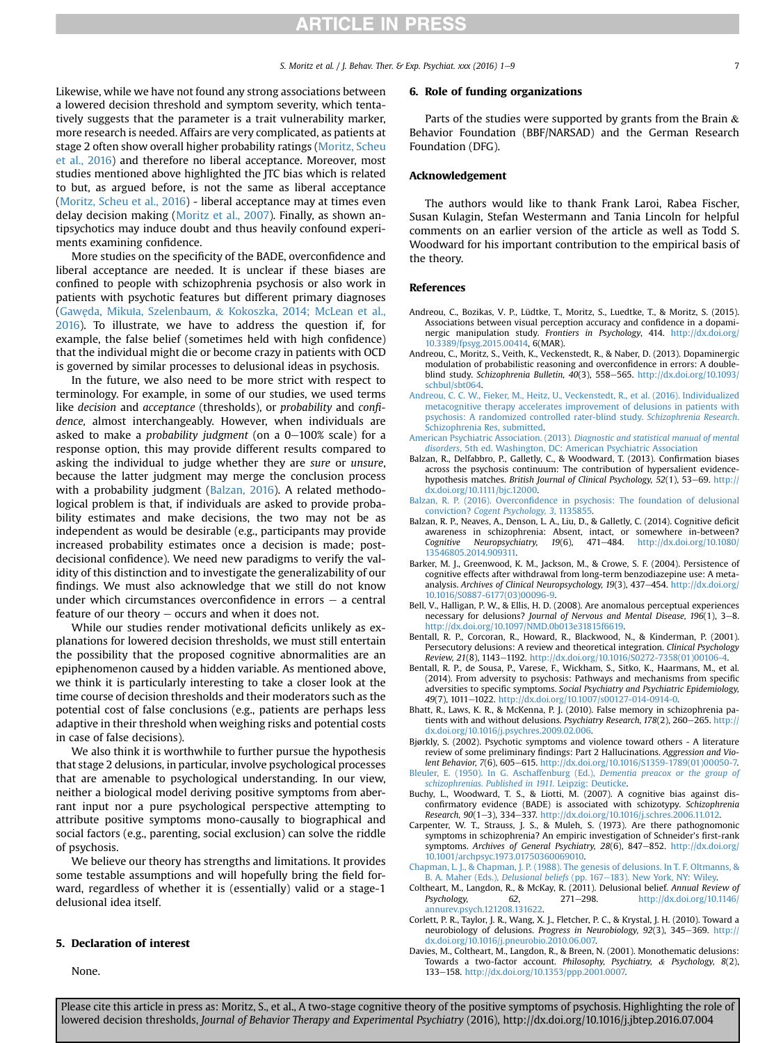S. Moritz et al.  $/$  I. Behav. Ther. & Exp. Psychiat. xxx (2016) 1–9 7

<span id="page-6-0"></span>Likewise, while we have not found any strong associations between a lowered decision threshold and symptom severity, which tentatively suggests that the parameter is a trait vulnerability marker, more research is needed. Affairs are very complicated, as patients at stage 2 often show overall higher probability ratings [\(Moritz, Scheu](#page-8-0) [et al., 2016\)](#page-8-0) and therefore no liberal acceptance. Moreover, most studies mentioned above highlighted the JTC bias which is related to but, as argued before, is not the same as liberal acceptance ([Moritz, Scheu et al., 2016](#page-8-0)) - liberal acceptance may at times even delay decision making ([Moritz et al., 2007\)](#page-8-0). Finally, as shown antipsychotics may induce doubt and thus heavily confound experiments examining confidence.

More studies on the specificity of the BADE, overconfidence and liberal acceptance are needed. It is unclear if these biases are confined to people with schizophrenia psychosis or also work in patients with psychotic features but different primary diagnoses ([Gaw](#page-7-0)e˛da, Mikuł[a, Szelenbaum,](#page-7-0) & [Kokoszka, 2014; McLean et al.,](#page-7-0) [2016\)](#page-7-0). To illustrate, we have to address the question if, for example, the false belief (sometimes held with high confidence) that the individual might die or become crazy in patients with OCD is governed by similar processes to delusional ideas in psychosis.

In the future, we also need to be more strict with respect to terminology. For example, in some of our studies, we used terms like decision and acceptance (thresholds), or probability and confidence, almost interchangeably. However, when individuals are asked to make a probability judgment (on a  $0-100\%$  scale) for a response option, this may provide different results compared to asking the individual to judge whether they are sure or unsure, because the latter judgment may merge the conclusion process with a probability judgment (Balzan, 2016). A related methodological problem is that, if individuals are asked to provide probability estimates and make decisions, the two may not be as independent as would be desirable (e.g., participants may provide increased probability estimates once a decision is made; postdecisional confidence). We need new paradigms to verify the validity of this distinction and to investigate the generalizability of our findings. We must also acknowledge that we still do not know under which circumstances overconfidence in errors  $-$  a central feature of our theory  $-$  occurs and when it does not.

While our studies render motivational deficits unlikely as explanations for lowered decision thresholds, we must still entertain the possibility that the proposed cognitive abnormalities are an epiphenomenon caused by a hidden variable. As mentioned above, we think it is particularly interesting to take a closer look at the time course of decision thresholds and their moderators such as the potential cost of false conclusions (e.g., patients are perhaps less adaptive in their threshold when weighing risks and potential costs in case of false decisions).

We also think it is worthwhile to further pursue the hypothesis that stage 2 delusions, in particular, involve psychological processes that are amenable to psychological understanding. In our view, neither a biological model deriving positive symptoms from aberrant input nor a pure psychological perspective attempting to attribute positive symptoms mono-causally to biographical and social factors (e.g., parenting, social exclusion) can solve the riddle of psychosis.

We believe our theory has strengths and limitations. It provides some testable assumptions and will hopefully bring the field forward, regardless of whether it is (essentially) valid or a stage-1 delusional idea itself.

#### 5. Declaration of interest

None.

#### 6. Role of funding organizations

Parts of the studies were supported by grants from the Brain  $\&$ Behavior Foundation (BBF/NARSAD) and the German Research Foundation (DFG).

#### Acknowledgement

The authors would like to thank Frank Laroi, Rabea Fischer, Susan Kulagin, Stefan Westermann and Tania Lincoln for helpful comments on an earlier version of the article as well as Todd S. Woodward for his important contribution to the empirical basis of the theory.

#### References

- Andreou, C., Bozikas, V. P., Lüdtke, T., Moritz, S., Luedtke, T., & Moritz, S. (2015). Associations between visual perception accuracy and confidence in a dopaminergic manipulation study. Frontiers in Psychology, 414. [http://dx.doi.org/](http://dx.doi.org/10.3389/fpsyg.2015.00414) [10.3389/fpsyg.2015.00414,](http://dx.doi.org/10.3389/fpsyg.2015.00414) 6(MAR).
- Andreou, C., Moritz, S., Veith, K., Veckenstedt, R., & Naber, D. (2013). Dopaminergic modulation of probabilistic reasoning and overconfidence in errors: A doubleblind study. Schizophrenia Bulletin,  $40(3)$ , 558-565. [http://dx.doi.org/10.1093/](http://dx.doi.org/10.1093/schbul/sbt064) [schbul/sbt064](http://dx.doi.org/10.1093/schbul/sbt064).
- [Andreou, C. C. W., Fieker, M., Heitz, U., Veckenstedt, R., et al. \(2016\). Individualized](http://refhub.elsevier.com/S0005-7916(16)30120-3/sref2) [metacognitive therapy accelerates improvement of delusions in patients with](http://refhub.elsevier.com/S0005-7916(16)30120-3/sref2) [psychosis: A randomized controlled rater-blind study.](http://refhub.elsevier.com/S0005-7916(16)30120-3/sref2) Schizophrenia Research. [Schizophrenia Res, submitted](http://refhub.elsevier.com/S0005-7916(16)30120-3/sref2).
- American Psychiatric Association. (2013). [Diagnostic and statistical manual of mental](http://refhub.elsevier.com/S0005-7916(16)30120-3/sref4) disorders[, 5th ed. Washington, DC: American Psychiatric Association](http://refhub.elsevier.com/S0005-7916(16)30120-3/sref4)
- Balzan, R., Delfabbro, P., Galletly, C., & Woodward, T. (2013). Confirmation biases across the psychosis continuum: The contribution of hypersalient evidencehypothesis matches. British Journal of Clinical Psychology, 52(1), 53-69. [http://](http://dx.doi.org/10.1111/bjc.12000) [dx.doi.org/10.1111/bjc.12000.](http://dx.doi.org/10.1111/bjc.12000)
- Balzan, R. P. (2016). Overconfi[dence in psychosis: The foundation of delusional](http://refhub.elsevier.com/S0005-7916(16)30120-3/sref5) conviction? [Cogent Psychology, 3](http://refhub.elsevier.com/S0005-7916(16)30120-3/sref5), 1135855.
- Balzan, R. P., Neaves, A., Denson, L. A., Liu, D., & Galletly, C. (2014). Cognitive deficit awareness in schizophrenia: Absent, intact, or somewhere in-between?<br>Cognitive Neuropsychiatry, 19(6), 471-484. http://dx.doi.org/10.1080/ Cognitive Neuropsychiatry,  $19(6)$ ,  $471-484$ . [http://dx.doi.org/10.1080/](http://dx.doi.org/10.1080/13546805.2014.909311) [13546805.2014.909311.](http://dx.doi.org/10.1080/13546805.2014.909311)
- Barker, M. J., Greenwood, K. M., Jackson, M., & Crowe, S. F. (2004). Persistence of cognitive effects after withdrawal from long-term benzodiazepine use: A metaanalysis. Archives of Clinical Neuropsychology, 19(3), 437-454. [http://dx.doi.org/](http://dx.doi.org/10.1016/S0887-6177(03)00096-9) [10.1016/S0887-6177\(03\)00096-9](http://dx.doi.org/10.1016/S0887-6177(03)00096-9).
- Bell, V., Halligan, P. W., & Ellis, H. D. (2008). Are anomalous perceptual experiences necessary for delusions? Journal of Nervous and Mental Disease, 196(1), 3-8. <http://dx.doi.org/10.1097/NMD.0b013e31815f6619>.
- Bentall, R. P., Corcoran, R., Howard, R., Blackwood, N., & Kinderman, P. (2001). Persecutory delusions: A review and theoretical integration. Clinical Psychology Review, 21(8), 1143-1192. [http://dx.doi.org/10.1016/S0272-7358\(01\)00106-4](http://dx.doi.org/10.1016/S0272-7358(01)00106-4).
- Bentall, R. P., de Sousa, P., Varese, F., Wickham, S., Sitko, K., Haarmans, M., et al. (2014). From adversity to psychosis: Pathways and mechanisms from specific adversities to specific symptoms. Social Psychiatry and Psychiatric Epidemiology, 49(7), 1011-1022. [http://dx.doi.org/10.1007/s00127-014-0914-0.](http://dx.doi.org/10.1007/s00127-014-0914-0)
- Bhatt, R., Laws, K. R., & McKenna, P. J. (2010). False memory in schizophrenia patients with and without delusions. Psychiatry Research,  $178(2)$ ,  $260-265$ . [http://](http://dx.doi.org/10.1016/j.psychres.2009.02.006) [dx.doi.org/10.1016/j.psychres.2009.02.006.](http://dx.doi.org/10.1016/j.psychres.2009.02.006)
- Bjørkly, S. (2002). Psychotic symptoms and violence toward others A literature review of some preliminary findings: Part 2 Hallucinations. Aggression and Violent Behavior, 7(6), 605-615. [http://dx.doi.org/10.1016/S1359-1789\(01\)00050-7.](http://dx.doi.org/10.1016/S1359-1789(01)00050-7)
- [Bleuler, E. \(1950\). In G. Aschaffenburg \(Ed.\),](http://refhub.elsevier.com/S0005-7916(16)30120-3/sref15) Dementia preacox or the group of [schizophrenias. Published in 1911](http://refhub.elsevier.com/S0005-7916(16)30120-3/sref15). Leipzig: Deuticke.
- Buchy, L., Woodward, T. S., & Liotti, M. (2007). A cognitive bias against disconfirmatory evidence (BADE) is associated with schizotypy. Schizophrenia Research, 90(1-3), 334-337. <http://dx.doi.org/10.1016/j.schres.2006.11.012>
- Carpenter, W. T., Strauss, J. S., & Muleh, S. (1973). Are there pathognomonic symptoms in schizophrenia? An empiric investigation of Schneider's first-rank symptoms. Archives of General Psychiatry, 28(6), 847-852. [http://dx.doi.org/](http://dx.doi.org/10.1001/archpsyc.1973.01750360069010) [10.1001/archpsyc.1973.01750360069010](http://dx.doi.org/10.1001/archpsyc.1973.01750360069010).
- [Chapman, L. J., & Chapman, J. P. \(1988\). The genesis of delusions. In T. F. Oltmanns, &](http://refhub.elsevier.com/S0005-7916(16)30120-3/sref18) [B. A. Maher \(Eds.\),](http://refhub.elsevier.com/S0005-7916(16)30120-3/sref18) Delusional beliefs (pp. 167-[183\). New York, NY: Wiley](http://refhub.elsevier.com/S0005-7916(16)30120-3/sref18).
- Coltheart, M., Langdon, R., & McKay, R. (2011). Delusional belief. Annual Review of Psychology, 62, 271-298. [http://dx.doi.org/10.1146/](http://dx.doi.org/10.1146/annurev.psych.121208.131622) [annurev.psych.121208.131622.](http://dx.doi.org/10.1146/annurev.psych.121208.131622)
- Corlett, P. R., Taylor, J. R., Wang, X. J., Fletcher, P. C., & Krystal, J. H. (2010). Toward a neurobiology of delusions. Progress in Neurobiology, 92(3), 345-369. [http://](http://dx.doi.org/10.1016/j.pneurobio.2010.06.007) [dx.doi.org/10.1016/j.pneurobio.2010.06.007.](http://dx.doi.org/10.1016/j.pneurobio.2010.06.007)
- Davies, M., Coltheart, M., Langdon, R., & Breen, N. (2001). Monothematic delusions: Towards a two-factor account. Philosophy, Psychiatry, & Psychology, 8(2), 133e158. [http://dx.doi.org/10.1353/ppp.2001.0007.](http://dx.doi.org/10.1353/ppp.2001.0007)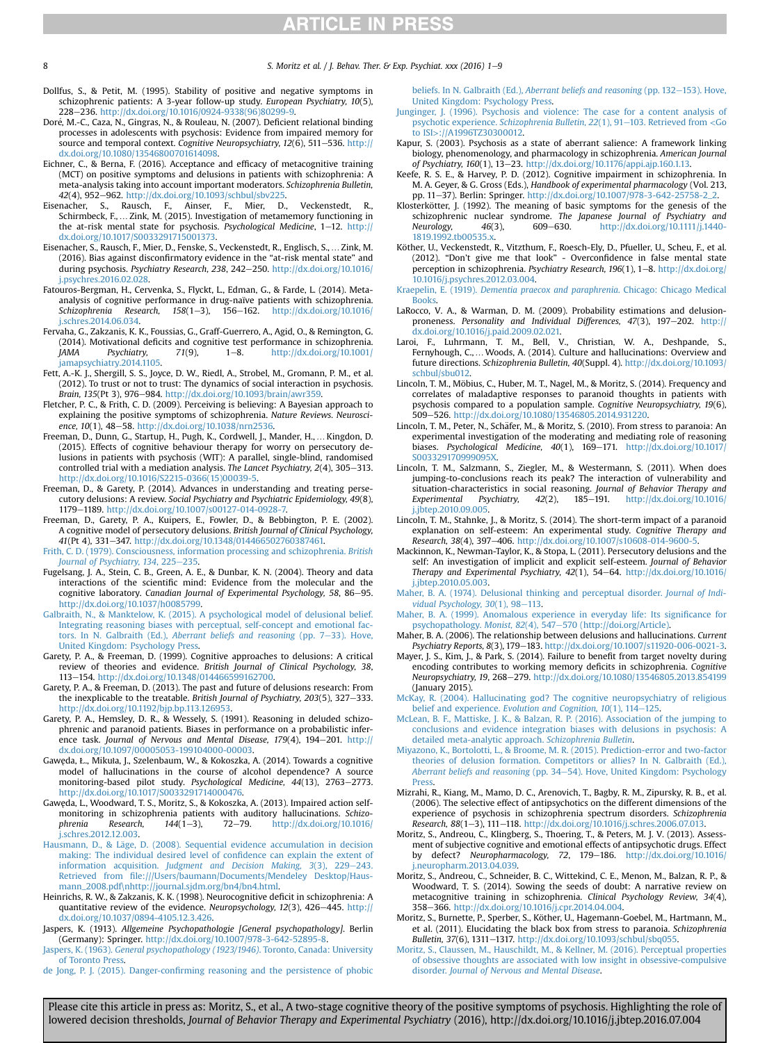<span id="page-7-0"></span>

8 S. Moritz et al. / I. Behav. Ther. & Exp. Psychiat. xxx (2016) 1–9

- Dollfus, S., & Petit, M. (1995). Stability of positive and negative symptoms in schizophrenic patients: A 3-year follow-up study. European Psychiatry, 10(5), 228e236. [http://dx.doi.org/10.1016/0924-9338\(96\)80299-9.](http://dx.doi.org/10.1016/0924-9338(96)80299-9)
- Doré, M.-C., Caza, N., Gingras, N., & Rouleau, N. (2007). Deficient relational binding processes in adolescents with psychosis: Evidence from impaired memory for source and temporal context. Cognitive Neuropsychiatry,  $12(6)$ , 511–536. [http://](http://dx.doi.org/10.1080/13546800701614098) [dx.doi.org/10.1080/13546800701614098](http://dx.doi.org/10.1080/13546800701614098).
- Eichner, C., & Berna, F. (2016). Acceptance and efficacy of metacognitive training (MCT) on positive symptoms and delusions in patients with schizophrenia: A meta-analysis taking into account important moderators. Schizophrenia Bulletin, 42(4), 952e962. [http://dx.doi.org/10.1093/schbul/sbv225.](http://dx.doi.org/10.1093/schbul/sbv225) Eisenacher, S., Rausch, F., Ainser, F., Mier, D., Veckenstedt, R.,
- Schirmbeck, F., ... Zink, M. (2015). Investigation of metamemory functioning in the at-risk mental state for psychosis. *Psychological Medicine*, 1–12. [http://](http://dx.doi.org/10.1017/S0033291715001373)<br>[dx.doi.org/10.1017/S0033291715001373.](http://dx.doi.org/10.1017/S0033291715001373)
- Eisenacher, S., Rausch, F., Mier, D., Fenske, S., Veckenstedt, R., Englisch, S., …Zink, M. (2016). Bias against disconfirmatory evidence in the "at-risk mental state" and during psychosis. Psychiatry Research, 238, 242-250. [http://dx.doi.org/10.1016/](http://dx.doi.org/10.1016/j.psychres.2016.02.028) [j.psychres.2016.02.028.](http://dx.doi.org/10.1016/j.psychres.2016.02.028)
- Fatouros-Bergman, H., Cervenka, S., Flyckt, L., Edman, G., & Farde, L. (2014). Metaanalysis of cognitive performance in drug-naïve patients with schizophrenia. Schizophrenia Research,  $158(1-3)$ ,  $156-162$ . [http://dx.doi.org/10.1016/](http://dx.doi.org/10.1016/j.schres.2014.06.034) [j.schres.2014.06.034](http://dx.doi.org/10.1016/j.schres.2014.06.034).
- Fervaha, G., Zakzanis, K. K., Foussias, G., Graff-Guerrero, A., Agid, O., & Remington, G. (2014). Motivational deficits and cognitive test performance in schizophrenia.  $JAMA$  Psychiatry,  $71(9)$ ,  $1-8$ ,  $http://dx.doi.org/10.1001/$ [jamapsychiatry.2014.1105.](http://dx.doi.org/10.1001/jamapsychiatry.2014.1105)
- Fett, A.-K. J., Shergill, S. S., Joyce, D. W., Riedl, A., Strobel, M., Gromann, P. M., et al. (2012). To trust or not to trust: The dynamics of social interaction in psychosis. Brain, 135(Pt 3), 976-984. <http://dx.doi.org/10.1093/brain/awr359>.
- Fletcher, P. C., & Frith, C. D. (2009). Perceiving is believing: A Bayesian approach to explaining the positive symptoms of schizophrenia. Nature Reviews. Neuroscience, 10(1), 48-58. [http://dx.doi.org/10.1038/nrn2536.](http://dx.doi.org/10.1038/nrn2536)
- Freeman, D., Dunn, G., Startup, H., Pugh, K., Cordwell, J., Mander, H.,… Kingdon, D. (2015). Effects of cognitive behaviour therapy for worry on persecutory delusions in patients with psychosis (WIT): A parallel, single-blind, randomised controlled trial with a mediation analysis. The Lancet Psychiatry,  $2(4)$ ,  $305-313$ . [http://dx.doi.org/10.1016/S2215-0366\(15\)00039-5](http://dx.doi.org/10.1016/S2215-0366(15)00039-5).
- Freeman, D., & Garety, P. (2014). Advances in understanding and treating persecutory delusions: A review. Social Psychiatry and Psychiatric Epidemiology, 49(8), 1179-1189. [http://dx.doi.org/10.1007/s00127-014-0928-7.](http://dx.doi.org/10.1007/s00127-014-0928-7)
- Freeman, D., Garety, P. A., Kuipers, E., Fowler, D., & Bebbington, P. E. (2002). A cognitive model of persecutory delusions. British Journal of Clinical Psychology, 41(Pt 4), 331-347. [http://dx.doi.org/10.1348/014466502760387461.](http://dx.doi.org/10.1348/014466502760387461)
- [Frith, C. D. \(1979\). Consciousness, information processing and schizophrenia.](http://refhub.elsevier.com/S0005-7916(16)30120-3/sref34) British [Journal of Psychiatry, 134](http://refhub.elsevier.com/S0005-7916(16)30120-3/sref34), 225-[235](http://refhub.elsevier.com/S0005-7916(16)30120-3/sref34).
- Fugelsang, J. A., Stein, C. B., Green, A. E., & Dunbar, K. N. (2004). Theory and data interactions of the scientific mind: Evidence from the molecular and the cognitive laboratory. Canadian Journal of Experimental Psychology, 58, 86-95. [http://dx.doi.org/10.1037/h0085799.](http://dx.doi.org/10.1037/h0085799)
- [Galbraith, N., & Manktelow, K. \(2015\). A psychological model of delusional belief.](http://refhub.elsevier.com/S0005-7916(16)30120-3/sref36) [Integrating reasoning biases with perceptual, self-concept and emotional fac-](http://refhub.elsevier.com/S0005-7916(16)30120-3/sref36)tors. In N. Galbraith (Ed.), [Aberrant beliefs and reasoning](http://refhub.elsevier.com/S0005-7916(16)30120-3/sref36) (pp. 7-[33\). Hove,](http://refhub.elsevier.com/S0005-7916(16)30120-3/sref36) [United Kingdom: Psychology Press.](http://refhub.elsevier.com/S0005-7916(16)30120-3/sref36)
- Garety, P. A., & Freeman, D. (1999). Cognitive approaches to delusions: A critical review of theories and evidence. British Journal of Clinical Psychology, 38, 113-154. http://dx.doi.org/10.1348/014466599162700
- Garety, P. A., & Freeman, D. (2013). The past and future of delusions research: From the inexplicable to the treatable. British Journal of Psychiatry, 203(5), 327-333. <http://dx.doi.org/10.1192/bjp.bp.113.126953>.
- Garety, P. A., Hemsley, D. R., & Wessely, S. (1991). Reasoning in deluded schizophrenic and paranoid patients. Biases in performance on a probabilistic inference task. Journal of Nervous and Mental Disease, 179(4), 194-201. [http://](http://dx.doi.org/10.1097/00005053-199104000-00003) [dx.doi.org/10.1097/00005053-199104000-00003](http://dx.doi.org/10.1097/00005053-199104000-00003).
- Gawe˛da, Ł., Mikuła, J., Szelenbaum, W., & Kokoszka, A. (2014). Towards a cognitive model of hallucinations in the course of alcohol dependence? A source monitoring-based pilot study. Psychological Medicine, 44(13), 2763-2773. <http://dx.doi.org/10.1017/S0033291714000476>.
- Gawęda, L., Woodward, T. S., Moritz, S., & Kokoszka, A. (2013). Impaired action selfmonitoring in schizophrenia patients with auditory hallucinations. Schizo-<br>phrenia Research, 144(1-3), 72-79. http://dx.doi.org/10.1016/ phrenia Research,  $144(1-3)$ , 72-79. [http://dx.doi.org/10.1016/](http://dx.doi.org/10.1016/j.schres.2012.12.003) [j.schres.2012.12.003.](http://dx.doi.org/10.1016/j.schres.2012.12.003)
- Hausmann, D., & Läge, D. (2008). Sequential evidence accumulation in decision [making: The individual desired level of con](http://refhub.elsevier.com/S0005-7916(16)30120-3/sref42)fidence can explain the extent of information acquisition. [Judgment and Decision Making, 3](http://refhub.elsevier.com/S0005-7916(16)30120-3/sref42)(3), 229-[243.](http://refhub.elsevier.com/S0005-7916(16)30120-3/sref42) Retrieved from fi[le:///Users/baumann/Documents/Mendeley Desktop/Haus](http://refhub.elsevier.com/S0005-7916(16)30120-3/sref42)[mann\\_2008.pdf](http://refhub.elsevier.com/S0005-7916(16)30120-3/sref42)\[nhttp://journal.sjdm.org/bn4/bn4.html.](http://refhub.elsevier.com/S0005-7916(16)30120-3/sref42)
- Heinrichs, R. W., & Zakzanis, K. K. (1998). Neurocognitive deficit in schizophrenia: A quantitative review of the evidence. Neuropsychology, 12(3), 426-445. [http://](http://dx.doi.org/10.1037/0894-4105.12.3.426) [dx.doi.org/10.1037/0894-4105.12.3.426](http://dx.doi.org/10.1037/0894-4105.12.3.426).
- Jaspers, K. (1913). Allgemeine Psychopathologie [General psychopathology]. Berlin (Germany): Springer. <http://dx.doi.org/10.1007/978-3-642-52895-8>.
- Jaspers, K. (1963). [General psychopathology \(1923/1946\)](http://refhub.elsevier.com/S0005-7916(16)30120-3/sref45). Toronto, Canada: University [of Toronto Press](http://refhub.elsevier.com/S0005-7916(16)30120-3/sref45).
- de Jong, P. J. (2015). Danger-confi[rming reasoning and the persistence of phobic](http://refhub.elsevier.com/S0005-7916(16)30120-3/sref46)

beliefs. In N. Galbraith (Ed.), [Aberrant beliefs and reasoning](http://refhub.elsevier.com/S0005-7916(16)30120-3/sref46) (pp. 132-[153\). Hove,](http://refhub.elsevier.com/S0005-7916(16)30120-3/sref46) [United Kingdom: Psychology Press.](http://refhub.elsevier.com/S0005-7916(16)30120-3/sref46)

- [Junginger, J. \(1996\). Psychosis and violence: The case for a content analysis of](http://refhub.elsevier.com/S0005-7916(16)30120-3/sref47) psychotic experience. [Schizophrenia Bulletin, 22](http://refhub.elsevier.com/S0005-7916(16)30120-3/sref47)(1), 91-[103. Retrieved from](http://refhub.elsevier.com/S0005-7916(16)30120-3/sref47) <Go to ISI>[://A1996TZ30300012.](http://refhub.elsevier.com/S0005-7916(16)30120-3/sref47)
- Kapur, S. (2003). Psychosis as a state of aberrant salience: A framework linking biology, phenomenology, and pharmacology in schizophrenia. American Journal of Psychiatry, 160(1),  $13-23$ . [http://dx.doi.org/10.1176/appi.ajp.160.1.13.](http://dx.doi.org/10.1176/appi.ajp.160.1.13)
- Keefe, R. S. E., & Harvey, P. D. (2012). Cognitive impairment in schizophrenia. In M. A. Geyer, & G. Gross (Eds.), Handbook of experimental pharmacology (Vol. 213, pp. 11-37). Berlin: Springer. http://dx.doi.org/10.1007/978-3-642-25758-2
- Klosterkötter, J. (1992). The meaning of basic symptoms for the genesis of the schizophrenic nuclear syndrome. The Japanese Journal of Psychiatry and 46(3), 609–630. [http://dx.doi.org/10.1111/j.1440-](http://dx.doi.org/10.1111/j.1440-1819.1992.tb00535.x) Neurology, 46(2)<br>[1819.1992.tb00535.x.](http://dx.doi.org/10.1111/j.1440-1819.1992.tb00535.x)
- Köther, U., Veckenstedt, R., Vitzthum, F., Roesch-Ely, D., Pfueller, U., Scheu, F., et al.<br>(2012). "Don't give me that look" Overconfidence in false mental state perception in schizophrenia. Psychiatry Research, 196(1),  $1-8$ . [http://dx.doi.org/](http://dx.doi.org/10.1016/j.psychres.2012.03.004) [10.1016/j.psychres.2012.03.004.](http://dx.doi.org/10.1016/j.psychres.2012.03.004)
- Kraepelin, E. (1919). [Dementia praecox and paraphrenia](http://refhub.elsevier.com/S0005-7916(16)30120-3/sref52). Chicago: Chicago Medical **Books**
- LaRocco, V. A., & Warman, D. M. (2009). Probability estimations and delusionproneness. Personality and Individual Differences, 47(3), 197-202. [http://](http://dx.doi.org/10.1016/j.paid.2009.02.021) [dx.doi.org/10.1016/j.paid.2009.02.021.](http://dx.doi.org/10.1016/j.paid.2009.02.021)
- Laroi, F., Luhrmann, T. M., Bell, V., Christian, W. A., Deshpande, S., Fernyhough, C.,…Woods, A. (2014). Culture and hallucinations: Overview and future directions. Schizophrenia Bulletin, 40(Suppl. 4). [http://dx.doi.org/10.1093/](http://dx.doi.org/10.1093/schbul/sbu012) [schbul/sbu012](http://dx.doi.org/10.1093/schbul/sbu012).
- Lincoln, T. M., Möbius, C., Huber, M. T., Nagel, M., & Moritz, S. (2014). Frequency and correlates of maladaptive responses to paranoid thoughts in patients with psychosis compared to a population sample. Cognitive Neuropsychiatry, 19(6), 509-526. <http://dx.doi.org/10.1080/13546805.2014.931220>.
- Lincoln, T. M., Peter, N., Schäfer, M., & Moritz, S. (2010). From stress to paranoia: An experimental investigation of the moderating and mediating role of reasoning biases. Psychological Medicine,  $40(1)$ ,  $169-171$ . [http://dx.doi.org/10.1017/](http://dx.doi.org/10.1017/S003329170999095X) [S003329170999095X.](http://dx.doi.org/10.1017/S003329170999095X)
- Lincoln, T. M., Salzmann, S., Ziegler, M., & Westermann, S. (2011). When does jumping-to-conclusions reach its peak? The interaction of vulnerability and situation-characteristics in social reasoning. Journal of Behavior Therapy and Experimental Psychiatry,  $42(2)$ ,  $185-191$ . [http://dx.doi.org/10.1016/](http://dx.doi.org/10.1016/j.jbtep.2010.09.005) [j.jbtep.2010.09.005](http://dx.doi.org/10.1016/j.jbtep.2010.09.005).
- Lincoln, T. M., Stahnke, J., & Moritz, S. (2014). The short-term impact of a paranoid explanation on self-esteem: An experimental study. Cognitive Therapy and Research, 38(4), 397-406. http://dx.doi.org/10.1007/s10608-014-9600-5
- Mackinnon, K., Newman-Taylor, K., & Stopa, L. (2011). Persecutory delusions and the self: An investigation of implicit and explicit self-esteem. Journal of Behavior Therapy and Experimental Psychiatry, 42(1), 54-64. [http://dx.doi.org/10.1016/](http://dx.doi.org/10.1016/j.jbtep.2010.05.003) [j.jbtep.2010.05.003](http://dx.doi.org/10.1016/j.jbtep.2010.05.003).
- [Maher, B. A. \(1974\). Delusional thinking and perceptual disorder.](http://refhub.elsevier.com/S0005-7916(16)30120-3/sref60) Journal of Individual Psychology,  $30(1)$ ,  $98-113$ .
- [Maher, B. A. \(1999\). Anomalous experience in everyday life: Its signi](http://refhub.elsevier.com/S0005-7916(16)30120-3/sref61)ficance for [psychopathology.](http://refhub.elsevier.com/S0005-7916(16)30120-3/sref61) Monist, 82(4), 547-[570 \(http://doi.org/Article\)](http://refhub.elsevier.com/S0005-7916(16)30120-3/sref61).
- Maher, B. A. (2006). The relationship between delusions and hallucinations. Current Psychiatry Reports, 8(3), 179-183. <http://dx.doi.org/10.1007/s11920-006-0021-3>.
- Mayer, J. S., Kim, J., & Park, S. (2014). Failure to benefit from target novelty during encoding contributes to working memory deficits in schizophrenia. Cognitive Neuropsychiatry, 19, 268-279. <http://dx.doi.org/10.1080/13546805.2013.854199> (January 2015).
- [McKay, R. \(2004\). Hallucinating god? The cognitive neuropsychiatry of religious](http://refhub.elsevier.com/S0005-7916(16)30120-3/sref64) belief and experience. [Evolution and Cognition, 10](http://refhub.elsevier.com/S0005-7916(16)30120-3/sref64)(1), 114-[125.](http://refhub.elsevier.com/S0005-7916(16)30120-3/sref64)
- [McLean, B. F., Mattiske, J. K., & Balzan, R. P. \(2016\). Association of the jumping to](http://refhub.elsevier.com/S0005-7916(16)30120-3/sref65) [conclusions and evidence integration biases with delusions in psychosis: A](http://refhub.elsevier.com/S0005-7916(16)30120-3/sref65) [detailed meta-analytic approach.](http://refhub.elsevier.com/S0005-7916(16)30120-3/sref65) Schizophrenia Bulletin.
- [Miyazono, K., Bortolotti, L., & Broome, M. R. \(2015\). Prediction-error and two-factor](http://refhub.elsevier.com/S0005-7916(16)30120-3/sref66) [theories of delusion formation. Competitors or allies? In N. Galbraith \(Ed.\),](http://refhub.elsevier.com/S0005-7916(16)30120-3/sref66) [Aberrant beliefs and reasoning](http://refhub.elsevier.com/S0005-7916(16)30120-3/sref66) (pp. 34-[54\). Hove, United Kingdom: Psychology](http://refhub.elsevier.com/S0005-7916(16)30120-3/sref66) [Press](http://refhub.elsevier.com/S0005-7916(16)30120-3/sref66).
- Mizrahi, R., Kiang, M., Mamo, D. C., Arenovich, T., Bagby, R. M., Zipursky, R. B., et al. (2006). The selective effect of antipsychotics on the different dimensions of the experience of psychosis in schizophrenia spectrum disorders. Schizophrenia Research, 88(1-3), 111-118. [http://dx.doi.org/10.1016/j.schres.2006.07.013.](http://dx.doi.org/10.1016/j.schres.2006.07.013)
- Moritz, S., Andreou, C., Klingberg, S., Thoering, T., & Peters, M. J. V. (2013). Assessment of subjective cognitive and emotional effects of antipsychotic drugs. Effect by defect? Neuropharmacology, 72, 179-186. [http://dx.doi.org/10.1016/](http://dx.doi.org/10.1016/j.neuropharm.2013.04.039) [j.neuropharm.2013.04.039](http://dx.doi.org/10.1016/j.neuropharm.2013.04.039).
- Moritz, S., Andreou, C., Schneider, B. C., Wittekind, C. E., Menon, M., Balzan, R. P., & Woodward, T. S. (2014). Sowing the seeds of doubt: A narrative review on metacognitive training in schizophrenia. Clinical Psychology Review, 34(4), 358-366. <http://dx.doi.org/10.1016/j.cpr.2014.04.004>.
- Moritz, S., Burnette, P., Sperber, S., Köther, U., Hagemann-Goebel, M., Hartmann, M., et al. (2011). Elucidating the black box from stress to paranoia. Schizophrenia Bulletin, 37(6), 1311-1317. <http://dx.doi.org/10.1093/schbul/sbq055>.
- [Moritz, S., Claussen, M., Hauschildt, M., & Kellner, M. \(2016\). Perceptual properties](http://refhub.elsevier.com/S0005-7916(16)30120-3/sref71) [of obsessive thoughts are associated with low insight in obsessive-compulsive](http://refhub.elsevier.com/S0005-7916(16)30120-3/sref71) disorder. [Journal of Nervous and Mental Disease](http://refhub.elsevier.com/S0005-7916(16)30120-3/sref71).